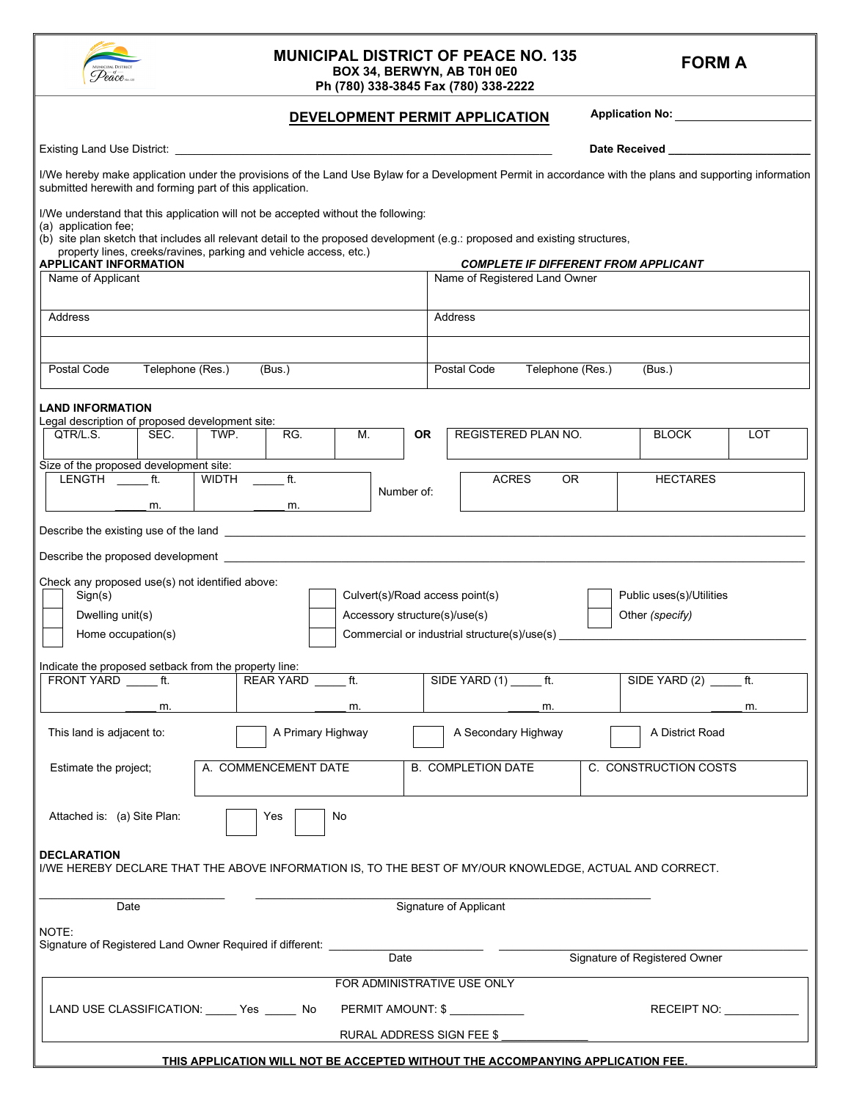| A. COMMENCEMENT DATE<br><b>B. COMPLETION DATE</b><br>the project;                              | C. CONSTRUCTION COSTS         |
|------------------------------------------------------------------------------------------------|-------------------------------|
| is: (a) Site Plan:<br>Yes<br>No                                                                |                               |
| TION                                                                                           |                               |
| BY DECLARE THAT THE ABOVE INFORMATION IS, TO THE BEST OF MY/OUR KNOWLEDGE, ACTUAL AND CORRECT. |                               |
|                                                                                                |                               |
|                                                                                                |                               |
| Signature of Applicant<br>Date                                                                 |                               |
|                                                                                                |                               |
| of Registered Land Owner Required if different:                                                |                               |
| Date                                                                                           | Signature of Registered Owner |
|                                                                                                |                               |
| FOR ADMINISTRATIVE USE ONLY                                                                    |                               |
| E CLASSIFICATION: ______ Yes _______ No<br>PERMIT AMOUNT: \$ ____________                      | RECEIPT NO:                   |
|                                                                                                |                               |
| <b>RURAL ADDRESS SIGN FEE \$</b>                                                               |                               |
| THIS APPLICATION WILL NOT BE ACCEPTED WITHOUT THE ACCOMPANYING APPLICATION FEE.                |                               |
|                                                                                                |                               |
|                                                                                                |                               |
|                                                                                                |                               |

#### **MUNICIPAL DISTRICT OF PEACE NO. 135 BOX 34, BERWYN, AB T0H 0E0**

**Ph (780) 338-3845 Fax (780) 338-2222**

#### **DEVELOPMENT PERMIT APPLICATION**

I/We hereby make application under the provisions of the Land Use Bylaw for a Development Permit in accordance with the plans and supporting information

Existing Land Use District: \_\_\_\_\_\_\_\_\_\_\_\_\_\_\_\_\_\_\_\_\_\_\_\_\_\_\_\_\_\_\_\_\_\_\_\_\_\_\_\_\_\_\_\_\_\_\_\_\_\_\_\_\_\_\_\_\_\_\_\_\_ **Date Received \_\_\_\_\_\_\_\_\_\_\_\_\_\_\_\_\_\_\_\_\_\_\_**

**Application No:**

| (b) site plan sketch that includes all relevant detail to the proposed development (e.g.: proposed and existing structures,<br>property lines, creeks/ravines, parking and vehicle access, etc.) |                      |           |                |                                                                  |                                                   |                                                                              |                     |                 |                                             |     |
|--------------------------------------------------------------------------------------------------------------------------------------------------------------------------------------------------|----------------------|-----------|----------------|------------------------------------------------------------------|---------------------------------------------------|------------------------------------------------------------------------------|---------------------|-----------------|---------------------------------------------|-----|
| <b>APPLICANT INFORMATION</b><br>Name of Applicant                                                                                                                                                |                      |           |                |                                                                  |                                                   | <b>COMPLETE IF DIFFERENT FROM APPLICANT</b><br>Name of Registered Land Owner |                     |                 |                                             |     |
| Address                                                                                                                                                                                          |                      |           |                |                                                                  |                                                   | Address                                                                      |                     |                 |                                             |     |
|                                                                                                                                                                                                  |                      |           |                |                                                                  |                                                   |                                                                              |                     |                 |                                             |     |
| Postal Code<br>Telephone (Res.)<br>(Bus.)                                                                                                                                                        |                      |           |                |                                                                  |                                                   | Postal Code                                                                  | Telephone (Res.)    |                 | (Bus.)                                      |     |
| <b>LAND INFORMATION</b><br>Legal description of proposed development site:                                                                                                                       |                      |           |                |                                                                  |                                                   |                                                                              |                     |                 |                                             |     |
| QTR/L.S.<br>SEC.                                                                                                                                                                                 | TWP.                 | М.<br>RG. |                |                                                                  | <b>OR</b>                                         |                                                                              | REGISTERED PLAN NO. |                 | <b>BLOCK</b>                                | LOT |
| Size of the proposed development site:                                                                                                                                                           |                      |           |                |                                                                  |                                                   |                                                                              |                     |                 |                                             |     |
| LENGTH<br>ft.                                                                                                                                                                                    | <b>WIDTH</b>         | ft.       |                | Number of:                                                       | <b>ACRES</b>                                      |                                                                              | $\overline{OR}$     | <b>HECTARES</b> |                                             |     |
| m.                                                                                                                                                                                               |                      |           | m.             |                                                                  |                                                   |                                                                              |                     |                 |                                             |     |
|                                                                                                                                                                                                  |                      |           |                |                                                                  |                                                   |                                                                              |                     |                 |                                             |     |
| Sign(s)<br>Dwelling unit(s)<br>Home occupation(s)                                                                                                                                                |                      |           |                | Culvert(s)/Road access point(s)<br>Accessory structure(s)/use(s) |                                                   | Commercial or industrial structure(s)/use(s)                                 |                     |                 | Public uses(s)/Utilities<br>Other (specify) |     |
| Indicate the proposed setback from the property line:<br>FRONT YARD ______ ft.                                                                                                                   |                      | REAR YARD | $\overline{t}$ |                                                                  | SIDE YARD $(1)$ ________ ft.<br>SIDE YARD (2) ft. |                                                                              |                     |                 |                                             |     |
| m.                                                                                                                                                                                               |                      |           | m.             |                                                                  | m.<br>m.                                          |                                                                              |                     |                 |                                             |     |
| This land is adjacent to:<br>A Primary Highway                                                                                                                                                   |                      |           |                | A Secondary Highway<br>A District Road                           |                                                   |                                                                              |                     |                 |                                             |     |
| Estimate the project;                                                                                                                                                                            | A. COMMENCEMENT DATE |           |                | <b>B. COMPLETION DATE</b><br>C. CONSTRUCTION COSTS               |                                                   |                                                                              |                     |                 |                                             |     |
| Attached is: (a) Site Plan:                                                                                                                                                                      |                      | Yes       | No             |                                                                  |                                                   |                                                                              |                     |                 |                                             |     |
| <b>DECLARATION</b><br>I/WE HEREBY DECLARE THAT THE ABOVE INFORMATION IS, TO THE BEST OF MY/OUR KNOWLEDGE, ACTUAL AND CORRECT.                                                                    |                      |           |                |                                                                  |                                                   |                                                                              |                     |                 |                                             |     |
| Date                                                                                                                                                                                             |                      |           |                |                                                                  |                                                   | <b>Signature of Applicant</b>                                                |                     |                 |                                             |     |
| NOTE:<br>Signature of Registered Land Owner Required if different:                                                                                                                               |                      |           |                |                                                                  |                                                   |                                                                              |                     |                 |                                             |     |
|                                                                                                                                                                                                  |                      |           |                | Date                                                             |                                                   |                                                                              |                     |                 | Signature of Registered Owner               |     |
|                                                                                                                                                                                                  |                      |           |                |                                                                  |                                                   | FOR ADMINISTRATIVE USE ONLY                                                  |                     |                 |                                             |     |
| LAND USE CLASSIFICATION: ______ Yes ______ No<br>PERMIT AMOUNT: \$                                                                                                                               |                      |           |                | <b>RECEIPT NO:</b><br>RURAL ADDRESS SIGN FEE \$                  |                                                   |                                                                              |                     |                 |                                             |     |
|                                                                                                                                                                                                  |                      |           |                |                                                                  |                                                   |                                                                              |                     |                 |                                             |     |



submitted herewith and forming part of this application.

I/We understand that this application will not be accepted without the following:

**FORM A**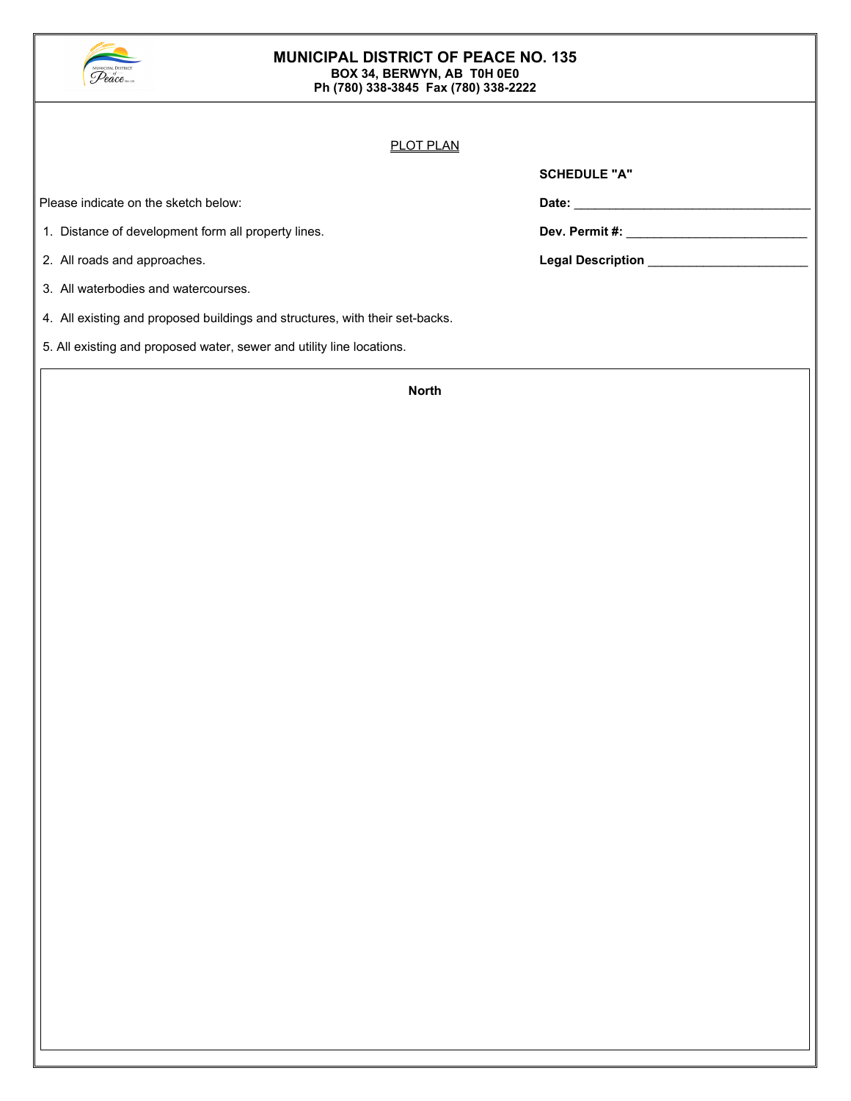

#### **MUNICIPAL DISTRICT OF PEACE NO. 135 BOX 34, BERWYN, AB T0H 0E0 Ph (780) 338-3845 Fax (780) 338-2222**

#### PLOT PLAN

Please indicate on the sketch below: **Date: Date: Date: <b>Date: Date: Date: Date: Date: Date: Date: Date: Date: Date: Date: Date: Date: Date: Date: Date: Date: Date: Date: Date: D** 

- 1. Distance of development form all property lines. **Dev. Permit #: Dev. Permit #:** \_\_\_\_\_\_\_\_\_\_\_\_\_\_\_\_\_\_\_\_\_\_\_\_\_\_\_\_\_\_
- 
- 3. All waterbodies and watercourses.
- 4. All existing and proposed buildings and structures, with their set-backs.
- 5. All existing and proposed water, sewer and utility line locations.

| Date: |  |  |
|-------|--|--|

**SCHEDULE "A"**

2. All roads and approaches. **Legal Description** \_\_\_\_\_\_\_\_\_\_\_\_\_\_\_\_\_\_\_\_\_\_\_

**North**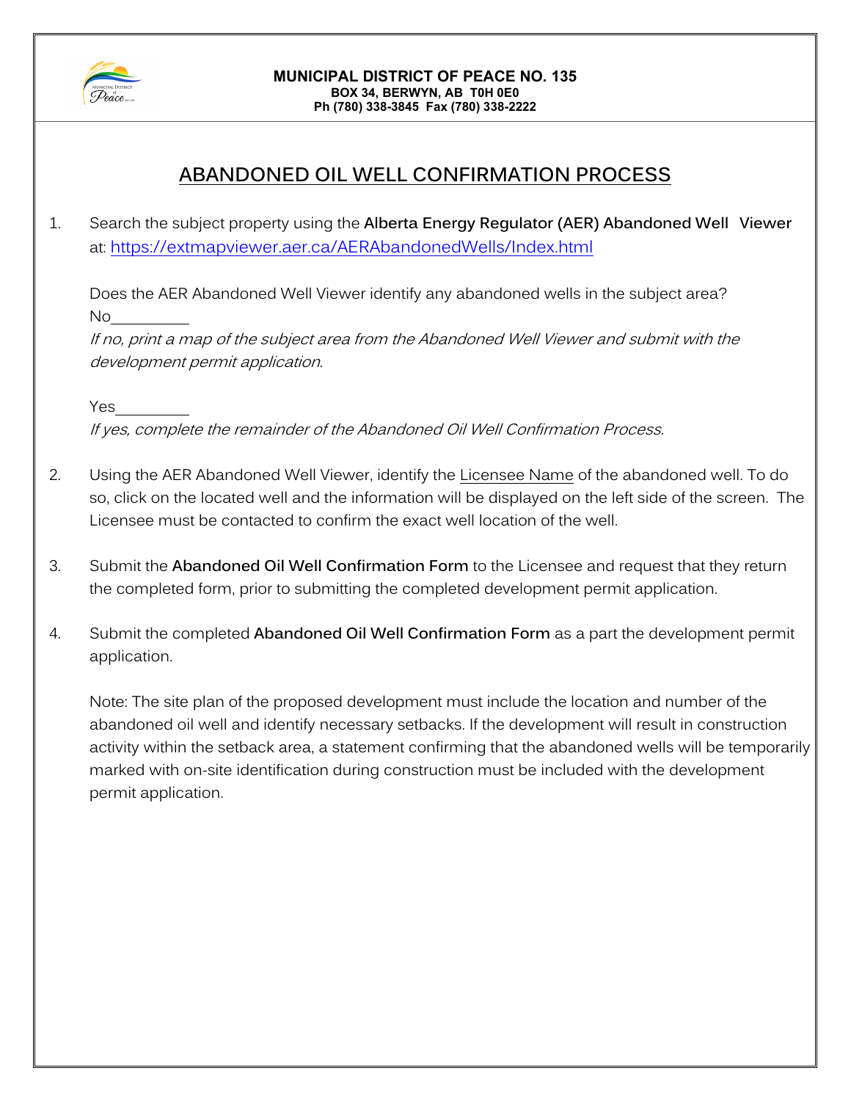

#### **MUNICIPAL DISTRICT OF PEACE NO. 135 BOX 34, BERWYN, AB T0H 0E0 Ph (780) 338-3845 Fax (780) 338-2222**

# **ABANDONED OIL WELL CONFIRMATION PROCESS**

1. Search the subject property using the **Alberta Energy Regulator (AER) Abandoned Well Viewer** at:<https://extmapviewer.aer.ca/AERAbandonedWells/Index.html>

Does the AER Abandoned Well Viewer identify any abandoned wells in the subject area? No

If no, print a map of the subject area from the Abandoned Well Viewer and submit with the development permit application.

Yes If yes, complete the remainder of the Abandoned Oil Well Confirmation Process.

- 2. Using the AER Abandoned Well Viewer, identify the Licensee Name of the abandoned well. To do so, click on the located well and the information will be displayed on the left side of the screen. The Licensee must be contacted to confirm the exact well location of the well.
- 3. Submit the **Abandoned Oil Well Confirmation Form** to the Licensee and request that they return the completed form, prior to submitting the completed development permit application.
- 4. Submit the completed **Abandoned Oil Well Confirmation Form** as a part the development permit application.

Note: The site plan of the proposed development must include the location and number of the abandoned oil well and identify necessary setbacks. If the development will result in construction activity within the setback area, a statement confirming that the abandoned wells will be temporarily marked with on-site identification during construction must be included with the development permit application.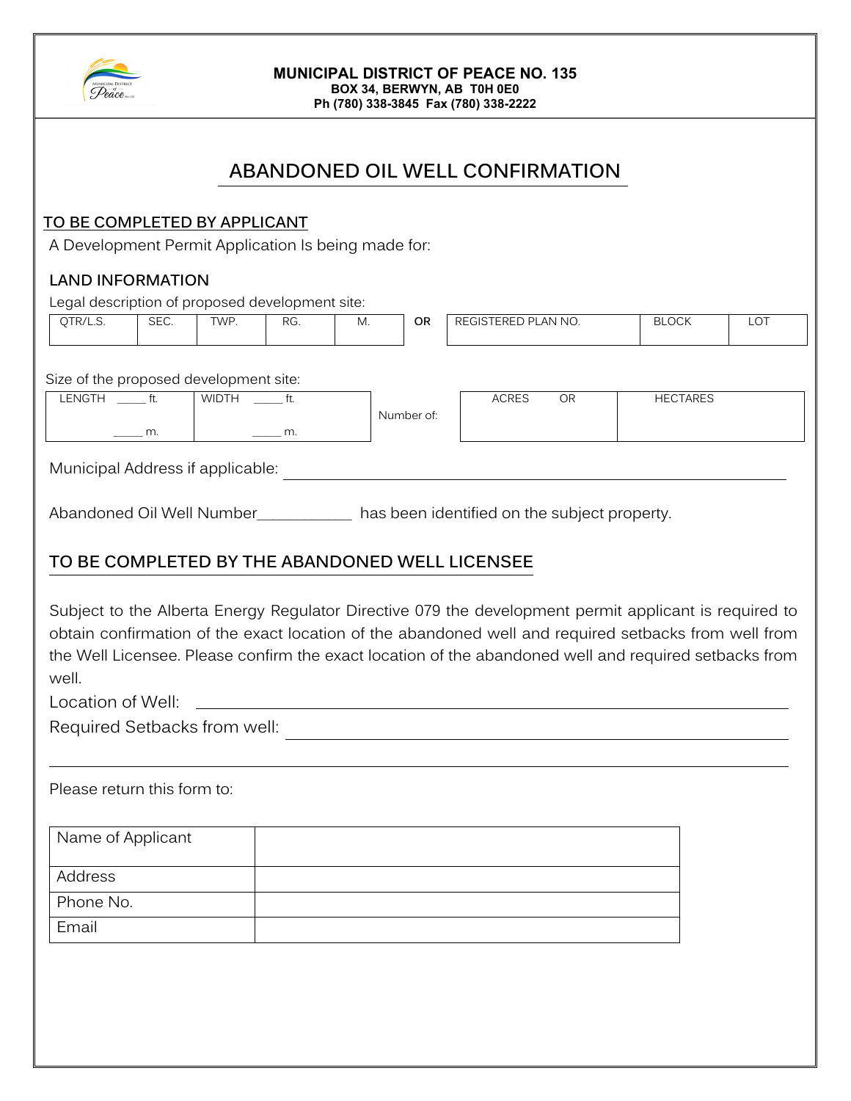

#### **MUNICIPAL DISTRICT OF PEACE NO. 135 BOX 34, BERWYN, AB T0H 0E0 Ph (780) 338-3845 Fax (780) 338-2222**

**ABANDONED OIL WELL CONFIRMATION**

### **TO BE COMPLETED BY APPLICANT**

A Development Permit Application Is being made for:

### **LAND INFORMATION**

| Legal description of proposed development site: |                 |              |       |    |            |                           |                 |            |
|-------------------------------------------------|-----------------|--------------|-------|----|------------|---------------------------|-----------------|------------|
| QTR/L.S.                                        | SEC.            | TWP.         | RG.   | M. | 0R         | REGISTERED PLAN NO.       | <b>BLOCK</b>    | <b>LOT</b> |
|                                                 |                 |              |       |    |            |                           |                 |            |
| Size of the proposed development site:          |                 |              |       |    |            |                           |                 |            |
| LENGTH                                          | $\mathsf{f}$ t. | <b>WIDTH</b> | e ft. |    |            | <b>ACRES</b><br><b>OR</b> | <b>HECTARES</b> |            |
|                                                 | m.              |              | m.    |    | Number of: |                           |                 |            |
|                                                 |                 |              |       |    |            |                           |                 |            |

Municipal Address if applicable:

Abandoned Oil Well Number\_\_\_\_\_\_\_\_\_\_\_\_\_ has been identified on the subject property.

## **TO BE COMPLETED BY THE ABANDONED WELL LICENSEE**

Subject to the Alberta Energy Regulator Directive 079 the development permit applicant is required to obtain confirmation of the exact location of the abandoned well and required setbacks from well from the Well Licensee. Please confirm the exact location of the abandoned well and required setbacks from well.

Location of Well:

Required Setbacks from well:  $\qquad \qquad \qquad \qquad$ 

Please return this form to:

| Name of Applicant |  |
|-------------------|--|
| Address           |  |
| Phone No.         |  |
| Email             |  |